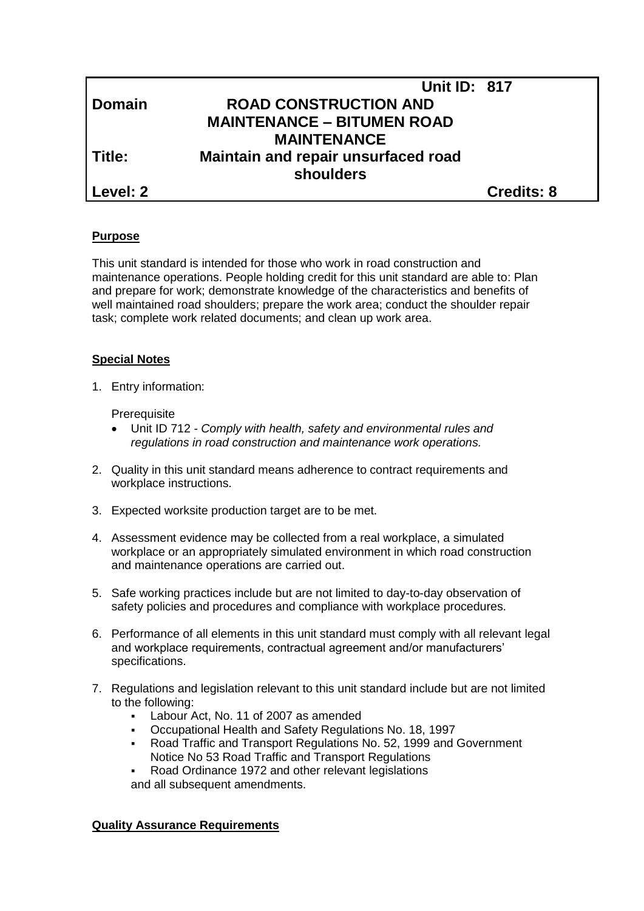|               | <b>Unit ID: 817</b>                              |                   |
|---------------|--------------------------------------------------|-------------------|
| <b>Domain</b> | <b>ROAD CONSTRUCTION AND</b>                     |                   |
|               | <b>MAINTENANCE - BITUMEN ROAD</b>                |                   |
|               | <b>MAINTENANCE</b>                               |                   |
| Title:        | Maintain and repair unsurfaced road<br>shoulders |                   |
| Level: 2      |                                                  | <b>Credits: 8</b> |

## **Purpose**

This unit standard is intended for those who work in road construction and maintenance operations. People holding credit for this unit standard are able to: Plan and prepare for work; demonstrate knowledge of the characteristics and benefits of well maintained road shoulders; prepare the work area; conduct the shoulder repair task; complete work related documents; and clean up work area.

## **Special Notes**

1. Entry information:

**Prerequisite** 

- Unit ID 712 *- Comply with health, safety and environmental rules and regulations in road construction and maintenance work operations.*
- 2. Quality in this unit standard means adherence to contract requirements and workplace instructions.
- 3. Expected worksite production target are to be met.
- 4. Assessment evidence may be collected from a real workplace, a simulated workplace or an appropriately simulated environment in which road construction and maintenance operations are carried out.
- 5. Safe working practices include but are not limited to day-to-day observation of safety policies and procedures and compliance with workplace procedures.
- 6. Performance of all elements in this unit standard must comply with all relevant legal and workplace requirements, contractual agreement and/or manufacturers' specifications.
- 7. Regulations and legislation relevant to this unit standard include but are not limited to the following:
	- Labour Act, No. 11 of 2007 as amended
	- Occupational Health and Safety Regulations No. 18, 1997
	- Road Traffic and Transport Regulations No. 52, 1999 and Government Notice No 53 Road Traffic and Transport Regulations
	- Road Ordinance 1972 and other relevant legislations and all subsequent amendments.

## **Quality Assurance Requirements**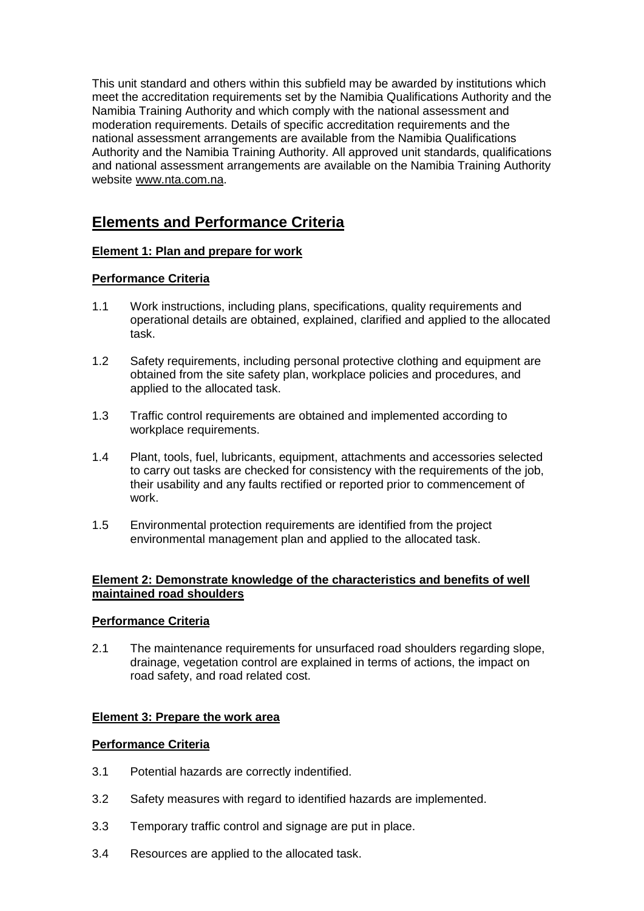This unit standard and others within this subfield may be awarded by institutions which meet the accreditation requirements set by the Namibia Qualifications Authority and the Namibia Training Authority and which comply with the national assessment and moderation requirements. Details of specific accreditation requirements and the national assessment arrangements are available from the Namibia Qualifications Authority and the Namibia Training Authority. All approved unit standards, qualifications and national assessment arrangements are available on the Namibia Training Authority website [www.nta.com.na.](http://www.nta.com.na/)

# **Elements and Performance Criteria**

# **Element 1: Plan and prepare for work**

# **Performance Criteria**

- 1.1 Work instructions, including plans, specifications, quality requirements and operational details are obtained, explained, clarified and applied to the allocated task.
- 1.2 Safety requirements, including personal protective clothing and equipment are obtained from the site safety plan, workplace policies and procedures, and applied to the allocated task.
- 1.3 Traffic control requirements are obtained and implemented according to workplace requirements.
- 1.4 Plant, tools, fuel, lubricants, equipment, attachments and accessories selected to carry out tasks are checked for consistency with the requirements of the job, their usability and any faults rectified or reported prior to commencement of work.
- 1.5 Environmental protection requirements are identified from the project environmental management plan and applied to the allocated task.

## **Element 2: Demonstrate knowledge of the characteristics and benefits of well maintained road shoulders**

## **Performance Criteria**

2.1 The maintenance requirements for unsurfaced road shoulders regarding slope, drainage, vegetation control are explained in terms of actions, the impact on road safety, and road related cost.

## **Element 3: Prepare the work area**

## **Performance Criteria**

- 3.1 Potential hazards are correctly indentified.
- 3.2 Safety measures with regard to identified hazards are implemented.
- 3.3 Temporary traffic control and signage are put in place.
- 3.4 Resources are applied to the allocated task.